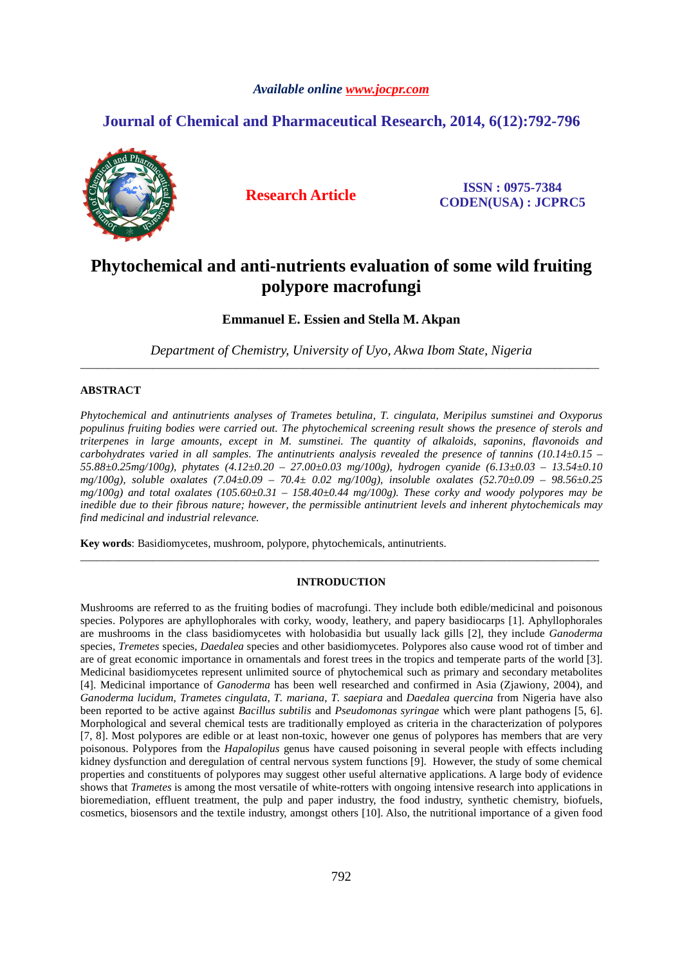## *Available online www.jocpr.com*

## **Journal of Chemical and Pharmaceutical Research, 2014, 6(12):792-796**



**Research Article ISSN : 0975-7384 CODEN(USA) : JCPRC5**

# **Phytochemical and anti-nutrients evaluation of some wild fruiting polypore macrofungi**

**Emmanuel E. Essien and Stella M. Akpan** 

*Department of Chemistry, University of Uyo, Akwa Ibom State, Nigeria*  \_\_\_\_\_\_\_\_\_\_\_\_\_\_\_\_\_\_\_\_\_\_\_\_\_\_\_\_\_\_\_\_\_\_\_\_\_\_\_\_\_\_\_\_\_\_\_\_\_\_\_\_\_\_\_\_\_\_\_\_\_\_\_\_\_\_\_\_\_\_\_\_\_\_\_\_\_\_\_\_\_\_\_\_\_\_\_\_\_\_\_\_\_

## **ABSTRACT**

*Phytochemical and antinutrients analyses of Trametes betulina, T. cingulata, Meripilus sumstinei and Oxyporus populinus fruiting bodies were carried out. The phytochemical screening result shows the presence of sterols and triterpenes in large amounts, except in M. sumstinei. The quantity of alkaloids, saponins, flavonoids and carbohydrates varied in all samples. The antinutrients analysis revealed the presence of tannins (10.14±0.15 – 55.88±0.25mg/100g), phytates (4.12±0.20 – 27.00±0.03 mg/100g), hydrogen cyanide (6.13±0.03 – 13.54±0.10 mg/100g), soluble oxalates (7.04±0.09 – 70.4± 0.02 mg/100g), insoluble oxalates (52.70±0.09 – 98.56±0.25*   $mg/100g$ ) and total oxalates (105.60 $\pm$ 0.31 – 158.40 $\pm$ 0.44 mg/100g). These corky and woody polypores may be *inedible due to their fibrous nature; however, the permissible antinutrient levels and inherent phytochemicals may find medicinal and industrial relevance.* 

**Key words**: Basidiomycetes, mushroom, polypore, phytochemicals, antinutrients.

## **INTRODUCTION**

\_\_\_\_\_\_\_\_\_\_\_\_\_\_\_\_\_\_\_\_\_\_\_\_\_\_\_\_\_\_\_\_\_\_\_\_\_\_\_\_\_\_\_\_\_\_\_\_\_\_\_\_\_\_\_\_\_\_\_\_\_\_\_\_\_\_\_\_\_\_\_\_\_\_\_\_\_\_\_\_\_\_\_\_\_\_\_\_\_\_\_\_\_

Mushrooms are referred to as the fruiting bodies of macrofungi. They include both edible/medicinal and poisonous species. Polypores are aphyllophorales with corky, woody, leathery, and papery basidiocarps [1]. Aphyllophorales are mushrooms in the class basidiomycetes with holobasidia but usually lack gills [2], they include *Ganoderma*  species, *Tremetes* species, *Daedalea* species and other basidiomycetes. Polypores also cause wood rot of timber and are of great economic importance in ornamentals and forest trees in the tropics and temperate parts of the world [3]. Medicinal basidiomycetes represent unlimited source of phytochemical such as primary and secondary metabolites [4]. Medicinal importance of *Ganoderma* has been well researched and confirmed in Asia (Zjawiony, 2004), and *Ganoderma lucidum*, *Trametes cingulata*, *T. mariana*, *T. saepiara* and *Daedalea quercina* from Nigeria have also been reported to be active against *Bacillus subtilis* and *Pseudomonas syringae* which were plant pathogens [5, 6]. Morphological and several chemical tests are traditionally employed as criteria in the characterization of polypores [7, 8]. Most polypores are edible or at least non-toxic, however one genus of polypores has members that are very poisonous. Polypores from the *Hapalopilus* genus have caused poisoning in several people with effects including kidney dysfunction and deregulation of central nervous system functions [9]. However, the study of some chemical properties and constituents of polypores may suggest other useful alternative applications. A large body of evidence shows that *Trametes* is among the most versatile of white-rotters with ongoing intensive research into applications in bioremediation, effluent treatment, the pulp and paper industry, the food industry, synthetic chemistry, biofuels, cosmetics, biosensors and the textile industry, amongst others [10]. Also, the nutritional importance of a given food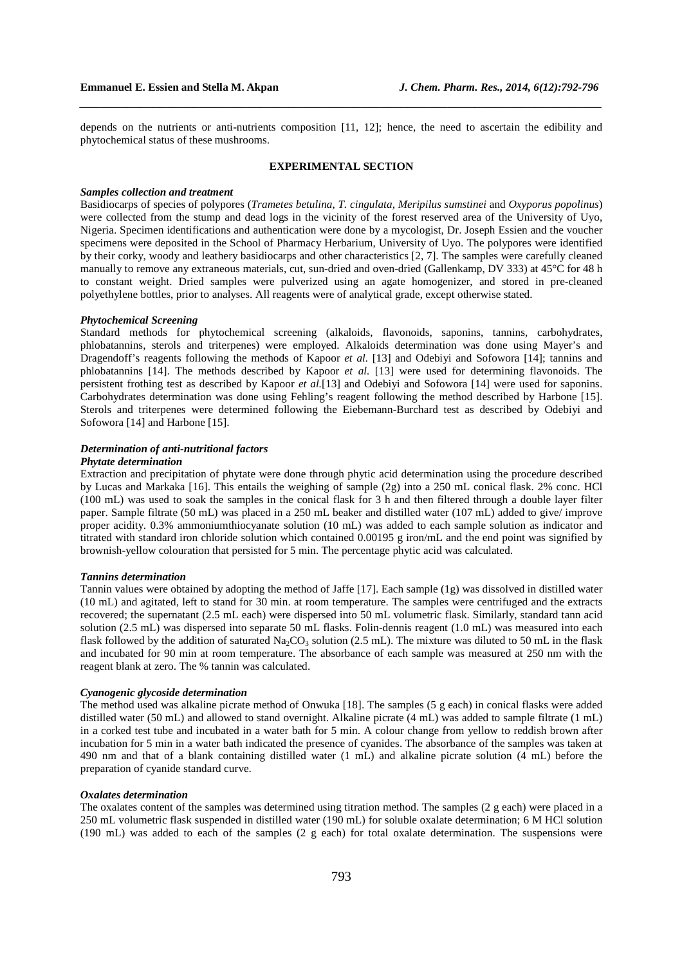depends on the nutrients or anti-nutrients composition [11, 12]; hence, the need to ascertain the edibility and phytochemical status of these mushrooms.

*\_\_\_\_\_\_\_\_\_\_\_\_\_\_\_\_\_\_\_\_\_\_\_\_\_\_\_\_\_\_\_\_\_\_\_\_\_\_\_\_\_\_\_\_\_\_\_\_\_\_\_\_\_\_\_\_\_\_\_\_\_\_\_\_\_\_\_\_\_\_\_\_\_\_\_\_\_\_*

#### **EXPERIMENTAL SECTION**

#### *Samples collection and treatment*

Basidiocarps of species of polypores (*Trametes betulina, T. cingulata, Meripilus sumstinei* and *Oxyporus popolinus*) were collected from the stump and dead logs in the vicinity of the forest reserved area of the University of Uyo, Nigeria. Specimen identifications and authentication were done by a mycologist, Dr. Joseph Essien and the voucher specimens were deposited in the School of Pharmacy Herbarium, University of Uyo. The polypores were identified by their corky, woody and leathery basidiocarps and other characteristics [2, 7]. The samples were carefully cleaned manually to remove any extraneous materials, cut, sun-dried and oven-dried (Gallenkamp, DV 333) at 45°C for 48 h to constant weight. Dried samples were pulverized using an agate homogenizer, and stored in pre-cleaned polyethylene bottles, prior to analyses. All reagents were of analytical grade, except otherwise stated.

#### *Phytochemical Screening*

Standard methods for phytochemical screening (alkaloids, flavonoids, saponins, tannins, carbohydrates, phlobatannins, sterols and triterpenes) were employed. Alkaloids determination was done using Mayer's and Dragendoff's reagents following the methods of Kapoor *et al.* [13] and Odebiyi and Sofowora [14]; tannins and phlobatannins [14]. The methods described by Kapoor *et al.* [13] were used for determining flavonoids. The persistent frothing test as described by Kapoor *et al.*[13] and Odebiyi and Sofowora [14] were used for saponins. Carbohydrates determination was done using Fehling's reagent following the method described by Harbone [15]. Sterols and triterpenes were determined following the Eiebemann-Burchard test as described by Odebiyi and Sofowora [14] and Harbone [15].

## *Determination of anti-nutritional factors*

## *Phytate determination*

Extraction and precipitation of phytate were done through phytic acid determination using the procedure described by Lucas and Markaka [16]. This entails the weighing of sample (2g) into a 250 mL conical flask. 2% conc. HCl (100 mL) was used to soak the samples in the conical flask for 3 h and then filtered through a double layer filter paper. Sample filtrate (50 mL) was placed in a 250 mL beaker and distilled water (107 mL) added to give/ improve proper acidity. 0.3% ammoniumthiocyanate solution (10 mL) was added to each sample solution as indicator and titrated with standard iron chloride solution which contained 0.00195 g iron/mL and the end point was signified by brownish-yellow colouration that persisted for 5 min. The percentage phytic acid was calculated.

#### *Tannins determination*

Tannin values were obtained by adopting the method of Jaffe [17]. Each sample (1g) was dissolved in distilled water (10 mL) and agitated, left to stand for 30 min. at room temperature. The samples were centrifuged and the extracts recovered; the supernatant (2.5 mL each) were dispersed into 50 mL volumetric flask. Similarly, standard tann acid solution (2.5 mL) was dispersed into separate 50 mL flasks. Folin-dennis reagent (1.0 mL) was measured into each flask followed by the addition of saturated Na<sub>2</sub>CO<sub>3</sub> solution (2.5 mL). The mixture was diluted to 50 mL in the flask and incubated for 90 min at room temperature. The absorbance of each sample was measured at 250 nm with the reagent blank at zero. The % tannin was calculated.

#### *Cyanogenic glycoside determination*

The method used was alkaline picrate method of Onwuka [18]. The samples (5 g each) in conical flasks were added distilled water (50 mL) and allowed to stand overnight. Alkaline picrate (4 mL) was added to sample filtrate (1 mL) in a corked test tube and incubated in a water bath for 5 min. A colour change from yellow to reddish brown after incubation for 5 min in a water bath indicated the presence of cyanides. The absorbance of the samples was taken at 490 nm and that of a blank containing distilled water (1 mL) and alkaline picrate solution (4 mL) before the preparation of cyanide standard curve.

### *Oxalates determination*

The oxalates content of the samples was determined using titration method. The samples (2 g each) were placed in a 250 mL volumetric flask suspended in distilled water (190 mL) for soluble oxalate determination; 6 M HCl solution (190 mL) was added to each of the samples (2 g each) for total oxalate determination. The suspensions were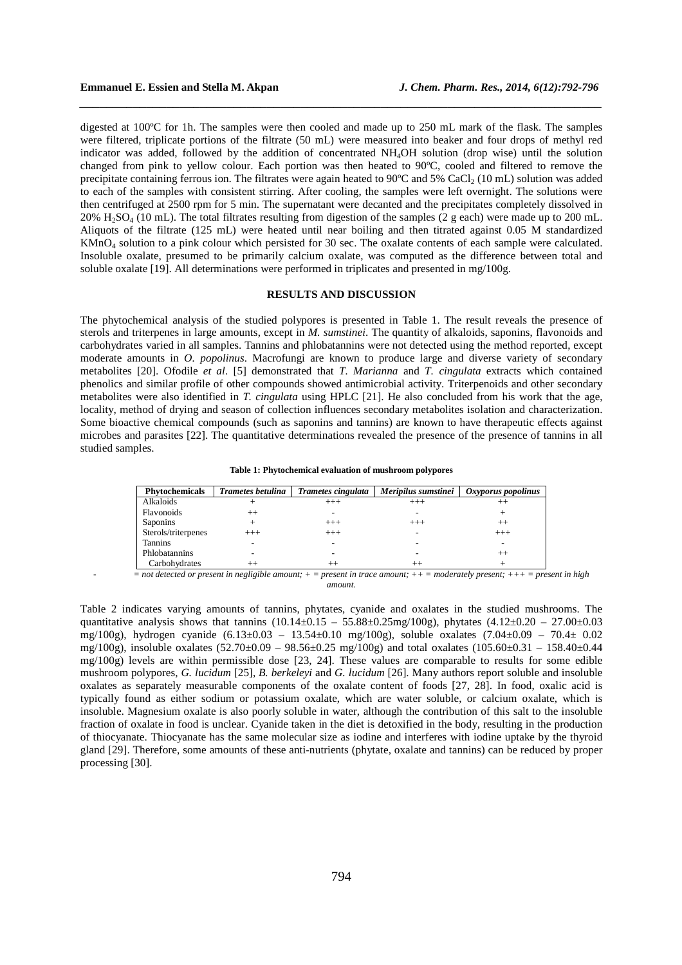digested at 100ºC for 1h. The samples were then cooled and made up to 250 mL mark of the flask. The samples were filtered, triplicate portions of the filtrate (50 mL) were measured into beaker and four drops of methyl red indicator was added, followed by the addition of concentrated NH4OH solution (drop wise) until the solution changed from pink to yellow colour. Each portion was then heated to 90ºC, cooled and filtered to remove the precipitate containing ferrous ion. The filtrates were again heated to  $90^{\circ}$ C and 5% CaCl<sub>2</sub> (10 mL) solution was added to each of the samples with consistent stirring. After cooling, the samples were left overnight. The solutions were then centrifuged at 2500 rpm for 5 min. The supernatant were decanted and the precipitates completely dissolved in 20%  $H_2SO_4$  (10 mL). The total filtrates resulting from digestion of the samples (2 g each) were made up to 200 mL. Aliquots of the filtrate (125 mL) were heated until near boiling and then titrated against 0.05 M standardized KMnO4 solution to a pink colour which persisted for 30 sec. The oxalate contents of each sample were calculated. Insoluble oxalate, presumed to be primarily calcium oxalate, was computed as the difference between total and soluble oxalate [19]. All determinations were performed in triplicates and presented in mg/100g.

*\_\_\_\_\_\_\_\_\_\_\_\_\_\_\_\_\_\_\_\_\_\_\_\_\_\_\_\_\_\_\_\_\_\_\_\_\_\_\_\_\_\_\_\_\_\_\_\_\_\_\_\_\_\_\_\_\_\_\_\_\_\_\_\_\_\_\_\_\_\_\_\_\_\_\_\_\_\_*

## **RESULTS AND DISCUSSION**

The phytochemical analysis of the studied polypores is presented in Table 1. The result reveals the presence of sterols and triterpenes in large amounts, except in *M. sumstinei*. The quantity of alkaloids, saponins, flavonoids and carbohydrates varied in all samples. Tannins and phlobatannins were not detected using the method reported, except moderate amounts in *O. popolinus*. Macrofungi are known to produce large and diverse variety of secondary metabolites [20]. Ofodile *et al*. [5] demonstrated that *T. Marianna* and *T. cingulata* extracts which contained phenolics and similar profile of other compounds showed antimicrobial activity. Triterpenoids and other secondary metabolites were also identified in *T. cingulata* using HPLC [21]. He also concluded from his work that the age, locality, method of drying and season of collection influences secondary metabolites isolation and characterization. Some bioactive chemical compounds (such as saponins and tannins) are known to have therapeutic effects against microbes and parasites [22]. The quantitative determinations revealed the presence of the presence of tannins in all studied samples.

| <b>Phytochemicals</b> | <b>Trametes betulina</b> | Trametes cingulata | Meripilus sumstinei | $Ox$ <i>Oxyporus popolinus</i> |
|-----------------------|--------------------------|--------------------|---------------------|--------------------------------|
| Alkaloids             |                          | $^{+++}$           | $^{+++}$            | $^{++}$                        |
| Flavonoids            | $^{++}$                  |                    |                     |                                |
| <b>Saponins</b>       |                          | $^{+++}$           | $^{+++}$            | $^{++}$                        |
| Sterols/triterpenes   | $^{+++}$                 | $^{+++}$           |                     | $^{+++}$                       |
| <b>Tannins</b>        |                          |                    |                     |                                |
| Phlobatannins         |                          |                    |                     | $^{++}$                        |
| Carbohydrates         | $^{++}$                  | $^{++}$            | $+ +$               |                                |

- *= not detected or present in negligible amount; + = present in trace amount; ++ = moderately present; +++ = present in high amount.* 

Table 2 indicates varying amounts of tannins, phytates, cyanide and oxalates in the studied mushrooms. The quantitative analysis shows that tannins  $(10.14 \pm 0.15 - 55.88 \pm 0.25 \text{mg}/100 \text{g})$ , phytates  $(4.12 \pm 0.20 - 27.00 \pm 0.03$ mg/100g), hydrogen cyanide (6.13±0.03 – 13.54±0.10 mg/100g), soluble oxalates (7.04±0.09 – 70.4± 0.02 mg/100g), insoluble oxalates  $(52.70 \pm 0.09 - 98.56 \pm 0.25 \text{ mg}/100 \text{g})$  and total oxalates  $(105.60 \pm 0.31 - 158.40 \pm 0.44 \text{ g})$ mg/100g) levels are within permissible dose [23, 24]. These values are comparable to results for some edible mushroom polypores, *G. lucidum* [25], *B. berkeleyi* and *G. lucidum* [26]. Many authors report soluble and insoluble oxalates as separately measurable components of the oxalate content of foods [27, 28]. In food, oxalic acid is typically found as either sodium or potassium oxalate, which are water soluble, or calcium oxalate, which is insoluble. Magnesium oxalate is also poorly soluble in water, although the contribution of this salt to the insoluble fraction of oxalate in food is unclear. Cyanide taken in the diet is detoxified in the body, resulting in the production of thiocyanate. Thiocyanate has the same molecular size as iodine and interferes with iodine uptake by the thyroid gland [29]. Therefore, some amounts of these anti-nutrients (phytate, oxalate and tannins) can be reduced by proper processing [30].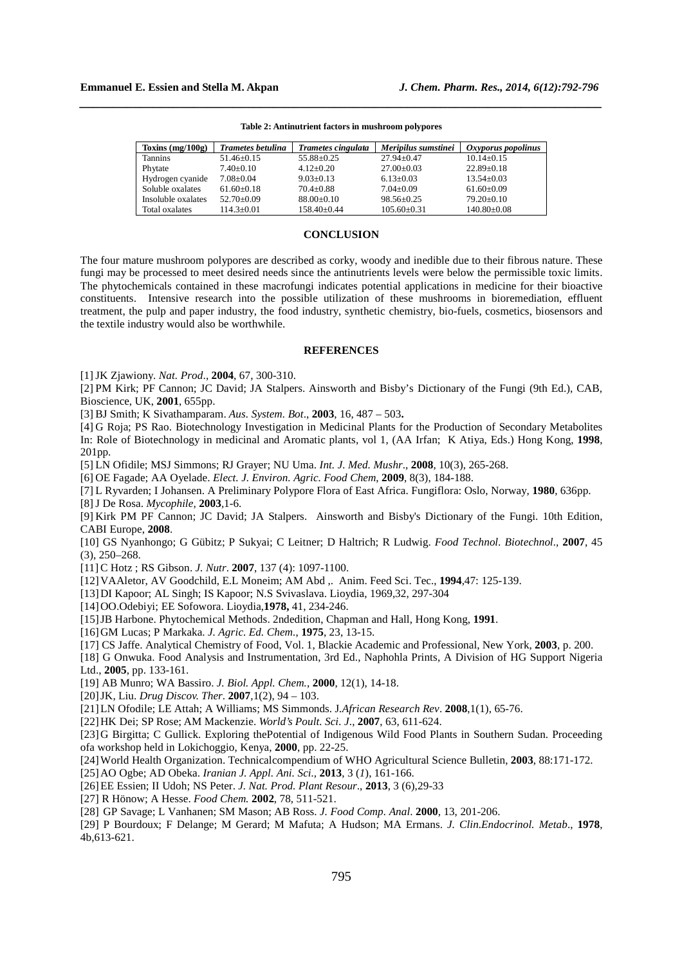| Toxins $(mg/100g)$ | Trametes betulina | Trametes cingulata | Meripilus sumstinei | Oxyporus popolinus |
|--------------------|-------------------|--------------------|---------------------|--------------------|
| <b>Tannins</b>     | $51.46 \pm 0.15$  | $55.88 \pm 0.25$   | $27.94 + 0.47$      | $10.14 \pm 0.15$   |
| Phytate            | $7.40+0.10$       | $4.12 + 0.20$      | $27.00+0.03$        | $22.89 + 0.18$     |
| Hydrogen cyanide   | $7.08 + 0.04$     | $9.03 \pm 0.13$    | $6.13 \pm 0.03$     | $13.54 \pm 0.03$   |
| Soluble oxalates   | $61.60 + 0.18$    | $70.4 \pm 0.88$    | $7.04 \pm 0.09$     | $61.60 \pm 0.09$   |
| Insoluble oxalates | $52.70+0.09$      | $88.00 \pm 0.10$   | $98.56 \pm 0.25$    | $79.20 \pm 0.10$   |
| Total oxalates     | $114.3 \pm 0.01$  | $158.40 \pm 0.44$  | $105.60 \pm 0.31$   | $140.80 \pm 0.08$  |

**Table 2: Antinutrient factors in mushroom polypores**

*\_\_\_\_\_\_\_\_\_\_\_\_\_\_\_\_\_\_\_\_\_\_\_\_\_\_\_\_\_\_\_\_\_\_\_\_\_\_\_\_\_\_\_\_\_\_\_\_\_\_\_\_\_\_\_\_\_\_\_\_\_\_\_\_\_\_\_\_\_\_\_\_\_\_\_\_\_\_*

#### **CONCLUSION**

The four mature mushroom polypores are described as corky, woody and inedible due to their fibrous nature. These fungi may be processed to meet desired needs since the antinutrients levels were below the permissible toxic limits. The phytochemicals contained in these macrofungi indicates potential applications in medicine for their bioactive constituents. Intensive research into the possible utilization of these mushrooms in bioremediation, effluent treatment, the pulp and paper industry, the food industry, synthetic chemistry, bio-fuels, cosmetics, biosensors and the textile industry would also be worthwhile.

#### **REFERENCES**

[1] JK Zjawiony. *Nat. Prod*., **2004**, 67, 300-310.

[2] PM Kirk; PF Cannon; JC David; JA Stalpers. Ainsworth and Bisby's Dictionary of the Fungi (9th Ed.), CAB, Bioscience, UK, **2001**, 655pp.

[3] BJ Smith; K Sivathamparam. *Aus. System. Bot*., **2003**, 16, 487 – 503**.**

[4] G Roja; PS Rao. Biotechnology Investigation in Medicinal Plants for the Production of Secondary Metabolites In: Role of Biotechnology in medicinal and Aromatic plants, vol 1, (AA Irfan; K Atiya, Eds.) Hong Kong, **1998**, 201pp.

[5] LN Ofidile; MSJ Simmons; RJ Grayer; NU Uma. *Int. J. Med. Mushr*., **2008**, 10(3), 265-268.

[6] OE Fagade; AA Oyelade. *Elect. J. Environ. Agric. Food Chem*, **2009**, 8(3), 184-188.

[7] L Ryvarden; I Johansen. A Preliminary Polypore Flora of East Africa. Fungiflora: Oslo, Norway, **1980**, 636pp.

[8] J De Rosa. *Mycophile,* **2003***,*1-6.

[9] Kirk PM PF Cannon; JC David; JA Stalpers. Ainsworth and Bisby's Dictionary of the Fungi. 10th Edition, CABI Europe, **2008**.

[10] GS Nyanhongo; G Gübitz; P Sukyai; C Leitner; D Haltrich; R Ludwig. *Food Technol. Biotechnol.,* **2007**, 45 (3), 250–268.

[11] C Hotz ; RS Gibson. *J. Nutr*. **2007**, 137 (4): 1097-1100.

[12] VAAletor, AV Goodchild, E.L Moneim; AM Abd ,. Anim. Feed Sci. Tec., **1994**,47: 125-139.

[13] DI Kapoor; AL Singh; IS Kapoor; N.S Svivaslava. Lioydia, 1969,32, 297-304

[14] OO.Odebiyi; EE Sofowora. Lioydia,**1978,** 41, 234-246.

[15] JB Harbone. Phytochemical Methods. 2ndedition, Chapman and Hall, Hong Kong, **1991**.

[16] GM Lucas; P Markaka. *J. Agric. Ed. Chem.*, **1975**, 23, 13-15.

[17] CS Jaffe. Analytical Chemistry of Food, Vol. 1, Blackie Academic and Professional, New York, **2003**, p. 200.

[18] G Onwuka. Food Analysis and Instrumentation, 3rd Ed., Naphohla Prints, A Division of HG Support Nigeria Ltd., **2005**, pp. 133-161.

[19] AB Munro; WA Bassiro. *J. Biol. Appl. Chem.*, **2000**, 12(1), 14-18.

[20] JK, Liu. *Drug Discov. Ther*. **2007**,1(2), 94 – 103.

[21] LN Ofodile; LE Attah; A Williams; MS Simmonds. J*.African Research Rev*. **2008**,1(1), 65-76.

[22] HK Dei; SP Rose; AM Mackenzie. *World's Poult. Sci. J*., **2007**, 63, 611-624.

[23] G Birgitta; C Gullick. Exploring thePotential of Indigenous Wild Food Plants in Southern Sudan. Proceeding ofa workshop held in Lokichoggio, Kenya, **2000**, pp. 22-25.

[24] World Health Organization. Technicalcompendium of WHO Agricultural Science Bulletin, **2003**, 88:171-172.

[25] AO Ogbe; AD Obeka. *Iranian J. Appl. Ani. Sci.,* **2013**, 3 (*1*), 161-166.

[26] EE Essien; II Udoh; NS Peter. *J. Nat. Prod. Plant Resour*., **2013**, 3 (6),29-33

[27] R Hönow; A Hesse. *Food Chem.* **2002**, 78, 511-521.

[28] GP Savage; L Vanhanen; SM Mason; AB Ross. *J. Food Comp. Anal*. **2000**, 13, 201-206.

[29] P Bourdoux; F Delange; M Gerard; M Mafuta; A Hudson; MA Ermans. *J. Clin.Endocrinol. Metab*., **1978**, 4b,613-621.